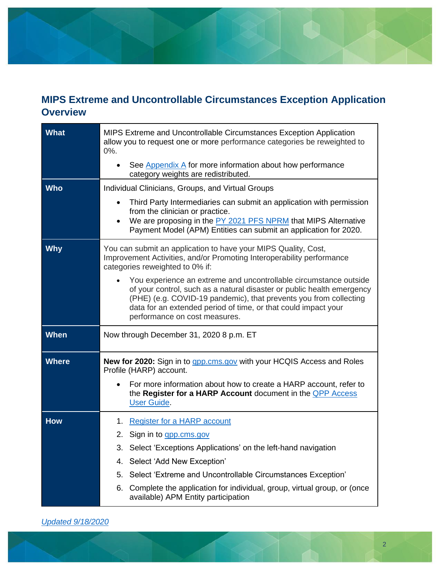## **MIPS Extreme and Uncontrollable Circumstances Exception Application Overview**

| What         | MIPS Extreme and Uncontrollable Circumstances Exception Application<br>allow you to request one or more performance categories be reweighted to<br>0%.                                                                                                                                                              |  |  |
|--------------|---------------------------------------------------------------------------------------------------------------------------------------------------------------------------------------------------------------------------------------------------------------------------------------------------------------------|--|--|
|              | See Appendix A for more information about how performance<br>category weights are redistributed.                                                                                                                                                                                                                    |  |  |
| <b>Who</b>   | Individual Clinicians, Groups, and Virtual Groups                                                                                                                                                                                                                                                                   |  |  |
|              | Third Party Intermediaries can submit an application with permission<br>$\bullet$<br>from the clinician or practice.<br>We are proposing in the PY 2021 PFS NPRM that MIPS Alternative<br>Payment Model (APM) Entities can submit an application for 2020.                                                          |  |  |
| Why          | You can submit an application to have your MIPS Quality, Cost,<br>Improvement Activities, and/or Promoting Interoperability performance<br>categories reweighted to 0% if:                                                                                                                                          |  |  |
|              | You experience an extreme and uncontrollable circumstance outside<br>of your control, such as a natural disaster or public health emergency<br>(PHE) (e.g. COVID-19 pandemic), that prevents you from collecting<br>data for an extended period of time, or that could impact your<br>performance on cost measures. |  |  |
| <b>When</b>  | Now through December 31, 2020 8 p.m. ET                                                                                                                                                                                                                                                                             |  |  |
| <b>Where</b> | <b>New for 2020:</b> Sign in to <i>gpp.cms.gov</i> with your HCQIS Access and Roles<br>Profile (HARP) account.                                                                                                                                                                                                      |  |  |
|              | For more information about how to create a HARP account, refer to<br>the Register for a HARP Account document in the <b>QPP Access</b><br><b>User Guide.</b>                                                                                                                                                        |  |  |
| <b>How</b>   | Register for a HARP account<br>1.                                                                                                                                                                                                                                                                                   |  |  |
|              | 2. Sign in to <u>app.cms.gov</u>                                                                                                                                                                                                                                                                                    |  |  |
|              | 3. Select 'Exceptions Applications' on the left-hand navigation                                                                                                                                                                                                                                                     |  |  |
|              | Select 'Add New Exception'<br>4.                                                                                                                                                                                                                                                                                    |  |  |
|              | Select 'Extreme and Uncontrollable Circumstances Exception'<br>5.                                                                                                                                                                                                                                                   |  |  |
|              | Complete the application for individual, group, virtual group, or (once<br>6.<br>available) APM Entity participation                                                                                                                                                                                                |  |  |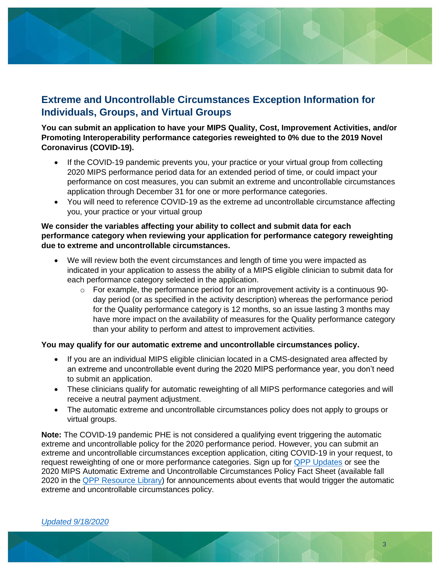### **Extreme and Uncontrollable Circumstances Exception Information for Individuals, Groups, and Virtual Groups**

#### **You can submit an application to have your MIPS Quality, Cost, Improvement Activities, and/or Promoting Interoperability performance categories reweighted to 0% due to the 2019 Novel Coronavirus (COVID-19).**

- If the COVID-19 pandemic prevents you, your practice or your virtual group from collecting 2020 MIPS performance period data for an extended period of time, or could impact your performance on cost measures, you can submit an extreme and uncontrollable circumstances application through December 31 for one or more performance categories.
- You will need to reference COVID-19 as the extreme ad uncontrollable circumstance affecting you, your practice or your virtual group

#### **We consider the variables affecting your ability to collect and submit data for each performance category when reviewing your application for performance category reweighting due to extreme and uncontrollable circumstances.**

- We will review both the event circumstances and length of time you were impacted as indicated in your application to assess the ability of a MIPS eligible clinician to submit data for each performance category selected in the application.
	- $\circ$  For example, the performance period for an improvement activity is a continuous 90day period (or as specified in the activity description) whereas the performance period for the Quality performance category is 12 months, so an issue lasting 3 months may have more impact on the availability of measures for the Quality performance category than your ability to perform and attest to improvement activities.

#### **You may qualify for our automatic extreme and uncontrollable circumstances policy.**

- If you are an individual MIPS eligible clinician located in a CMS-designated area affected by an extreme and uncontrollable event during the 2020 MIPS performance year, you don't need to submit an application.
- These clinicians qualify for automatic reweighting of all MIPS performance categories and will receive a neutral payment adjustment.
- The automatic extreme and uncontrollable circumstances policy does not apply to groups or virtual groups.

**Note:** The COVID-19 pandemic PHE is not considered a qualifying event triggering the automatic extreme and uncontrollable policy for the 2020 performance period. However, you can submit an extreme and uncontrollable circumstances exception application, citing COVID-19 in your request, to request reweighting of one or more performance categories. Sign up for [QPP Updates](https://qpp.cms.gov/) or see the 2020 MIPS Automatic Extreme and Uncontrollable Circumstances Policy Fact Sheet (available fall 2020 in the [QPP Resource Library\)](https://qpp.cms.gov/about/resource-library) for announcements about events that would trigger the automatic extreme and uncontrollable circumstances policy.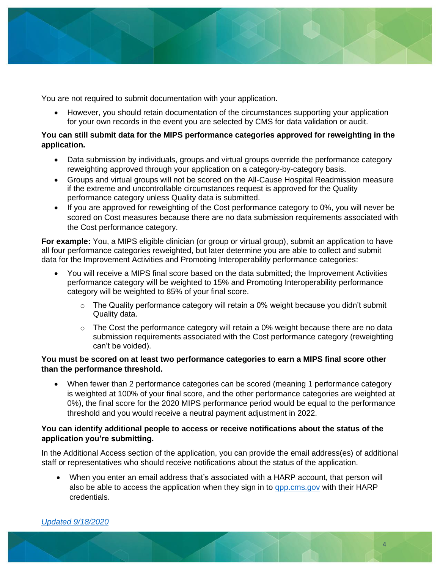

You are not required to submit documentation with your application.

• However, you should retain documentation of the circumstances supporting your application for your own records in the event you are selected by CMS for data validation or audit.

#### **You can still submit data for the MIPS performance categories approved for reweighting in the application.**

- Data submission by individuals, groups and virtual groups override the performance category reweighting approved through your application on a category-by-category basis.
- Groups and virtual groups will not be scored on the All-Cause Hospital Readmission measure if the extreme and uncontrollable circumstances request is approved for the Quality performance category unless Quality data is submitted.
- If you are approved for reweighting of the Cost performance category to 0%, you will never be scored on Cost measures because there are no data submission requirements associated with the Cost performance category.

**For example:** You, a MIPS eligible clinician (or group or virtual group), submit an application to have all four performance categories reweighted, but later determine you are able to collect and submit data for the Improvement Activities and Promoting Interoperability performance categories:

- You will receive a MIPS final score based on the data submitted; the Improvement Activities performance category will be weighted to 15% and Promoting Interoperability performance category will be weighted to 85% of your final score.
	- $\circ$  The Quality performance category will retain a 0% weight because you didn't submit Quality data.
	- $\circ$  The Cost the performance category will retain a 0% weight because there are no data submission requirements associated with the Cost performance category (reweighting can't be voided).

#### **You must be scored on at least two performance categories to earn a MIPS final score other than the performance threshold.**

• When fewer than 2 performance categories can be scored (meaning 1 performance category is weighted at 100% of your final score, and the other performance categories are weighted at 0%), the final score for the 2020 MIPS performance period would be equal to the performance threshold and you would receive a neutral payment adjustment in 2022.

#### **You can identify additional people to access or receive notifications about the status of the application you're submitting.**

In the Additional Access section of the application, you can provide the email address(es) of additional staff or representatives who should receive notifications about the status of the application.

• When you enter an email address that's associated with a HARP account, that person will also be able to access the application when they sign in to [qpp.cms.gov](https://qpp.cms.gov/login) with their HARP credentials.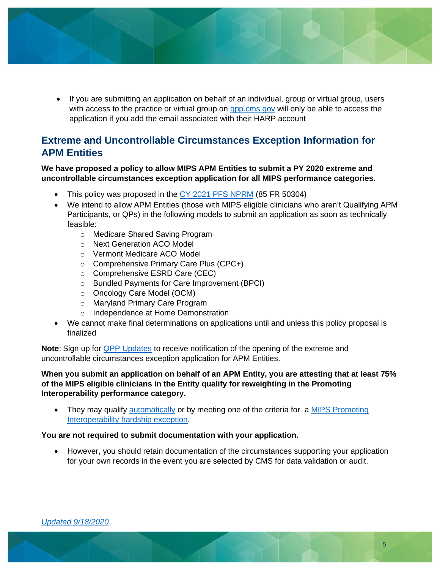- - If you are submitting an application on behalf of an individual, group or virtual group, users with access to the practice or virtual group on [qpp.cms.gov](https://qpp.cms.gov/login) will only be able to access the application if you add the email associated with their HARP account

### **Extreme and Uncontrollable Circumstances Exception Information for APM Entities**

#### **We have proposed a policy to allow MIPS APM Entities to submit a PY 2020 extreme and uncontrollable circumstances exception application for all MIPS performance categories.**

- This policy was proposed in the [CY 2021 PFS NPRM](https://www.federalregister.gov/documents/2020/08/17/2020-17127/medicare-program-cy-2021-revisions-to-payment-policies-under-the-physician-fee-schedule-and-other) (85 FR 50304)
- We intend to allow APM Entities (those with MIPS eligible clinicians who aren't Qualifying APM Participants, or QPs) in the following models to submit an application as soon as technically feasible:
	- o Medicare Shared Saving Program
	- o Next Generation ACO Model
	- o Vermont Medicare ACO Model
	- o Comprehensive Primary Care Plus (CPC+)
	- o Comprehensive ESRD Care (CEC)
	- o Bundled Payments for Care Improvement (BPCI)
	- o Oncology Care Model (OCM)
	- o Maryland Primary Care Program
	- o Independence at Home Demonstration
- We cannot make final determinations on applications until and unless this policy proposal is finalized

**Note**: Sign up for [QPP Updates](https://qpp.cms.gov/) to receive notification of the opening of the extreme and uncontrollable circumstances exception application for APM Entities.

#### **When you submit an application on behalf of an APM Entity, you are attesting that at least 75% of the MIPS eligible clinicians in the Entity qualify for reweighting in the Promoting Interoperability performance category.**

• They may qualify [automatically](#page-12-0) or by meeting one of the criteria for a MIPS Promoting [Interoperability hardship exception.](#page-6-0)

#### **You are not required to submit documentation with your application.**

• However, you should retain documentation of the circumstances supporting your application for your own records in the event you are selected by CMS for data validation or audit.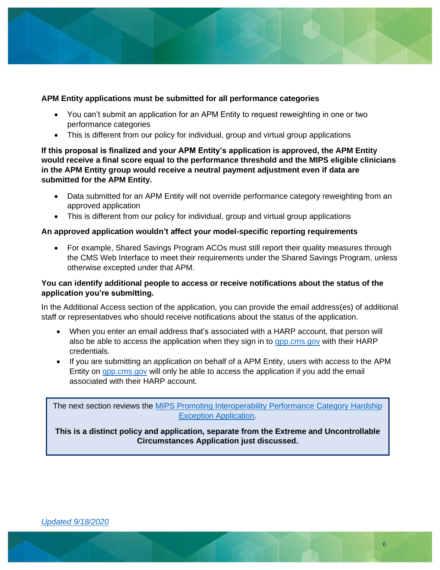

#### **APM Entity applications must be submitted for all performance categories**

- You can't submit an application for an APM Entity to request reweighting in one or two performance categories
- This is different from our policy for individual, group and virtual group applications

**If this proposal is finalized and your APM Entity's application is approved, the APM Entity would receive a final score equal to the performance threshold and the MIPS eligible clinicians in the APM Entity group would receive a neutral payment adjustment even if data are submitted for the APM Entity.**

- Data submitted for an APM Entity will not override performance category reweighting from an approved application
- This is different from our policy for individual, group and virtual group applications

#### **An approved application wouldn't affect your model-specific reporting requirements**

• For example, Shared Savings Program ACOs must still report their quality measures through the CMS Web Interface to meet their requirements under the Shared Savings Program, unless otherwise excepted under that APM.

#### **You can identify additional people to access or receive notifications about the status of the application you're submitting.**

In the Additional Access section of the application, you can provide the email address(es) of additional staff or representatives who should receive notifications about the status of the application.

- When you enter an email address that's associated with a HARP account, that person will also be able to access the application when they sign in to [qpp.cms.gov](https://qpp.cms.gov/login) with their HARP credentials.
- If you are submitting an application on behalf of a APM Entity, users with access to the APM Entity on **qpp.cms.gov** will only be able to access the application if you add the email associated with their HARP account.

The next section reviews the [MIPS Promoting Interoperability Performance Category Hardship](#page-6-0)  [Exception Application.](#page-6-0) **This is a distinct policy and application, separate from the Extreme and Uncontrollable Circumstances Application just discussed.**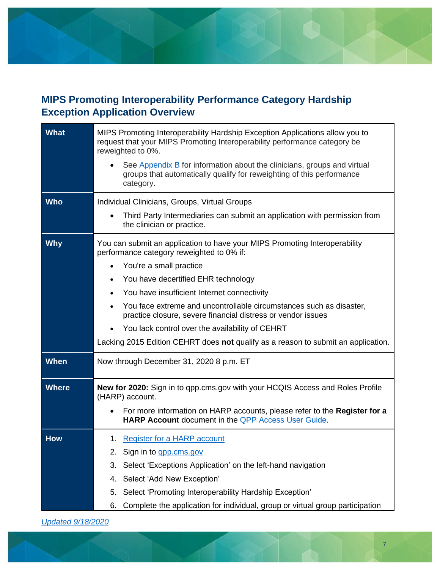# <span id="page-6-0"></span>**MIPS Promoting Interoperability Performance Category Hardship Exception Application Overview**

| <b>What</b>  | MIPS Promoting Interoperability Hardship Exception Applications allow you to<br>request that your MIPS Promoting Interoperability performance category be<br>reweighted to 0%.<br>See Appendix B for information about the clinicians, groups and virtual<br>groups that automatically qualify for reweighting of this performance<br>category. |  |  |  |
|--------------|-------------------------------------------------------------------------------------------------------------------------------------------------------------------------------------------------------------------------------------------------------------------------------------------------------------------------------------------------|--|--|--|
| <b>Who</b>   | Individual Clinicians, Groups, Virtual Groups                                                                                                                                                                                                                                                                                                   |  |  |  |
|              | Third Party Intermediaries can submit an application with permission from<br>the clinician or practice.                                                                                                                                                                                                                                         |  |  |  |
| <b>Why</b>   | You can submit an application to have your MIPS Promoting Interoperability<br>performance category reweighted to 0% if:                                                                                                                                                                                                                         |  |  |  |
|              | You're a small practice<br>$\bullet$                                                                                                                                                                                                                                                                                                            |  |  |  |
|              | You have decertified EHR technology                                                                                                                                                                                                                                                                                                             |  |  |  |
|              | You have insufficient Internet connectivity                                                                                                                                                                                                                                                                                                     |  |  |  |
|              | You face extreme and uncontrollable circumstances such as disaster,<br>practice closure, severe financial distress or vendor issues                                                                                                                                                                                                             |  |  |  |
|              | You lack control over the availability of CEHRT                                                                                                                                                                                                                                                                                                 |  |  |  |
|              | Lacking 2015 Edition CEHRT does not qualify as a reason to submit an application.                                                                                                                                                                                                                                                               |  |  |  |
| <b>When</b>  | Now through December 31, 2020 8 p.m. ET                                                                                                                                                                                                                                                                                                         |  |  |  |
| <b>Where</b> | <b>New for 2020:</b> Sign in to app.cms.gov with your HCQIS Access and Roles Profile<br>(HARP) account.                                                                                                                                                                                                                                         |  |  |  |
|              | For more information on HARP accounts, please refer to the <b>Register for a</b><br>HARP Account document in the <b>QPP Access User Guide</b> .                                                                                                                                                                                                 |  |  |  |
| <b>How</b>   | 1. Register for a HARP account                                                                                                                                                                                                                                                                                                                  |  |  |  |
|              | Sign in to <b>gpp.cms.gov</b><br>2.                                                                                                                                                                                                                                                                                                             |  |  |  |
|              | Select 'Exceptions Application' on the left-hand navigation<br>3.                                                                                                                                                                                                                                                                               |  |  |  |
|              | Select 'Add New Exception'<br>4.                                                                                                                                                                                                                                                                                                                |  |  |  |
|              | Select 'Promoting Interoperability Hardship Exception'<br>5.                                                                                                                                                                                                                                                                                    |  |  |  |
|              | Complete the application for individual, group or virtual group participation<br>6.                                                                                                                                                                                                                                                             |  |  |  |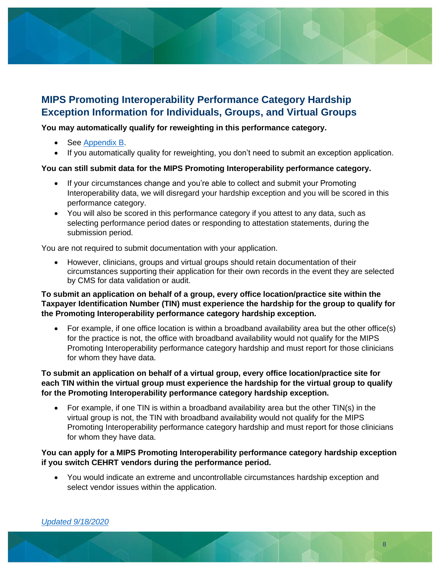

### **MIPS Promoting Interoperability Performance Category Hardship Exception Information for Individuals, Groups, and Virtual Groups**

#### **You may automatically qualify for reweighting in this performance category.**

- See [Appendix B.](#page-12-0)
- If you automatically quality for reweighting, you don't need to submit an exception application.

#### **You can still submit data for the MIPS Promoting Interoperability performance category.**

- If your circumstances change and you're able to collect and submit your Promoting Interoperability data, we will disregard your hardship exception and you will be scored in this performance category.
- You will also be scored in this performance category if you attest to any data, such as selecting performance period dates or responding to attestation statements, during the submission period.

You are not required to submit documentation with your application.

• However, clinicians, groups and virtual groups should retain documentation of their circumstances supporting their application for their own records in the event they are selected by CMS for data validation or audit.

#### **To submit an application on behalf of a group, every office location/practice site within the Taxpayer Identification Number (TIN) must experience the hardship for the group to qualify for the Promoting Interoperability performance category hardship exception.**

• For example, if one office location is within a broadband availability area but the other office(s) for the practice is not, the office with broadband availability would not qualify for the MIPS Promoting Interoperability performance category hardship and must report for those clinicians for whom they have data.

#### **To submit an application on behalf of a virtual group, every office location/practice site for each TIN within the virtual group must experience the hardship for the virtual group to qualify for the Promoting Interoperability performance category hardship exception.**

• For example, if one TIN is within a broadband availability area but the other TIN(s) in the virtual group is not, the TIN with broadband availability would not qualify for the MIPS Promoting Interoperability performance category hardship and must report for those clinicians for whom they have data.

#### **You can apply for a MIPS Promoting Interoperability performance category hardship exception if you switch CEHRT vendors during the performance period.**

• You would indicate an extreme and uncontrollable circumstances hardship exception and select vendor issues within the application.

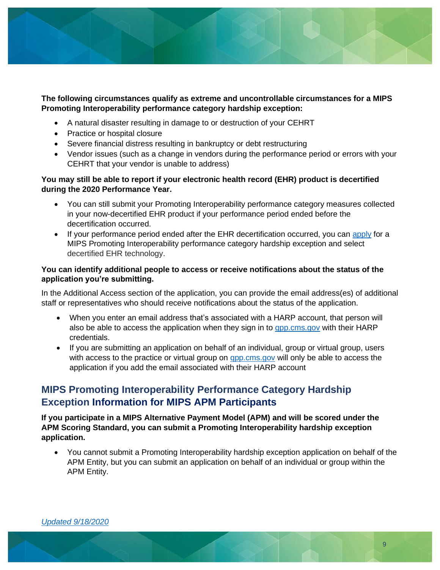

#### **The following circumstances qualify as extreme and uncontrollable circumstances for a MIPS Promoting Interoperability performance category hardship exception:**

- A natural disaster resulting in damage to or destruction of your CEHRT
- Practice or hospital closure
- Severe financial distress resulting in bankruptcy or debt restructuring
- Vendor issues (such as a change in vendors during the performance period or errors with your CEHRT that your vendor is unable to address)

#### **You may still be able to report if your electronic health record (EHR) product is decertified during the 2020 Performance Year.**

- You can still submit your Promoting Interoperability performance category measures collected in your now-decertified EHR product if your performance period ended before the decertification occurred.
- If your performance period ended after the EHR decertification occurred, you can [apply](https://qpp.cms.gov/mips/exception-applications) for a MIPS Promoting Interoperability performance category hardship exception and select decertified EHR technology.

#### **You can identify additional people to access or receive notifications about the status of the application you're submitting.**

In the Additional Access section of the application, you can provide the email address(es) of additional staff or representatives who should receive notifications about the status of the application.

- When you enter an email address that's associated with a HARP account, that person will also be able to access the application when they sign in to [qpp.cms.gov](https://qpp.cms.gov/login) with their HARP credentials.
- If you are submitting an application on behalf of an individual, group or virtual group, users with access to the practice or virtual group on [qpp.cms.gov](https://qpp.cms.gov/login) will only be able to access the application if you add the email associated with their HARP account

### **MIPS Promoting Interoperability Performance Category Hardship Exception Information for MIPS APM Participants**

**If you participate in a MIPS Alternative Payment Model (APM) and will be scored under the APM Scoring Standard, you can submit a Promoting Interoperability hardship exception application.**

• You cannot submit a Promoting Interoperability hardship exception application on behalf of the APM Entity, but you can submit an application on behalf of an individual or group within the APM Entity.

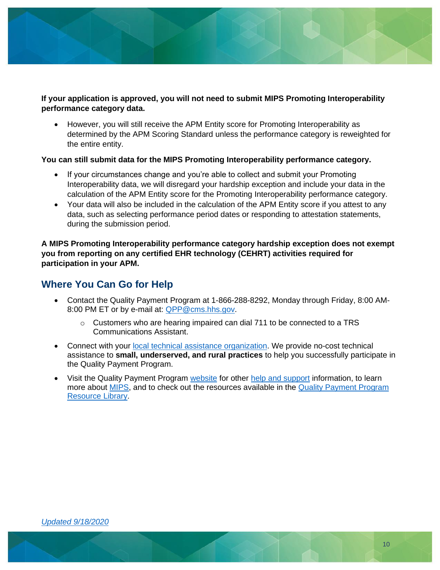

#### **If your application is approved, you will not need to submit MIPS Promoting Interoperability performance category data.**

• However, you will still receive the APM Entity score for Promoting Interoperability as determined by the APM Scoring Standard unless the performance category is reweighted for the entire entity.

#### **You can still submit data for the MIPS Promoting Interoperability performance category.**

- If your circumstances change and you're able to collect and submit your Promoting Interoperability data, we will disregard your hardship exception and include your data in the calculation of the APM Entity score for the Promoting Interoperability performance category.
- Your data will also be included in the calculation of the APM Entity score if you attest to any data, such as selecting performance period dates or responding to attestation statements, during the submission period.

**A MIPS Promoting Interoperability performance category hardship exception does not exempt you from reporting on any certified EHR technology (CEHRT) activities required for participation in your APM.**

### **Where You Can Go for Help**

- Contact the Quality Payment Program at 1-866-288-8292, Monday through Friday, 8:00 AM-8:00 PM ET or by e-mail at: [QPP@cms.hhs.gov.](mailto:QPP@cms.hhs.gov)
	- $\circ$  Customers who are hearing impaired can dial 711 to be connected to a TRS Communications Assistant.
- Connect with your [local technical assistance organization.](https://qpp.cms.gov/about/small-underserved-rural-practices) We provide no-cost technical assistance to **small, underserved, and rural practices** to help you successfully participate in the Quality Payment Program.
- Visit the Quality Payment Program [website](https://qpp.cms.gov/) for other [help and support](https://qpp.cms.gov/about/help-and-support) information, to learn more about [MIPS,](https://qpp.cms.gov/mips/overview) and to check out the resources available in the Quality Payment Program [Resource Library.](https://qpp.cms.gov/about/resource-library)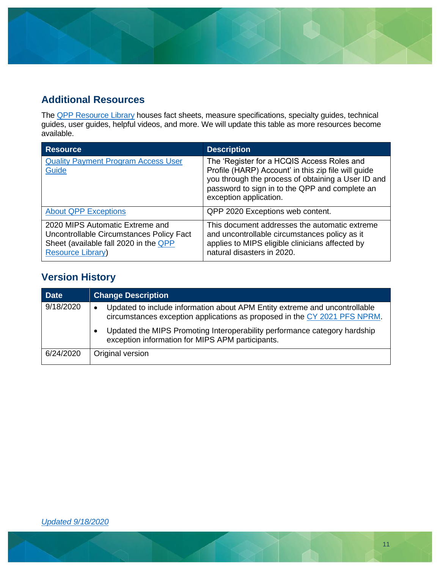

### **Additional Resources**

The **QPP Resource Library** houses fact sheets, measure specifications, specialty guides, technical guides, user guides, helpful videos, and more. We will update this table as more resources become available.

| <b>Resource</b>                                                                                                                                  | <b>Description</b>                                                                                                                                                                                                                  |
|--------------------------------------------------------------------------------------------------------------------------------------------------|-------------------------------------------------------------------------------------------------------------------------------------------------------------------------------------------------------------------------------------|
| <b>Quality Payment Program Access User</b><br>Guide                                                                                              | The 'Register for a HCQIS Access Roles and<br>Profile (HARP) Account' in this zip file will guide<br>you through the process of obtaining a User ID and<br>password to sign in to the QPP and complete an<br>exception application. |
| <b>About QPP Exceptions</b>                                                                                                                      | QPP 2020 Exceptions web content.                                                                                                                                                                                                    |
| 2020 MIPS Automatic Extreme and<br>Uncontrollable Circumstances Policy Fact<br>Sheet (available fall 2020 in the QPP<br><b>Resource Library)</b> | This document addresses the automatic extreme<br>and uncontrollable circumstances policy as it<br>applies to MIPS eligible clinicians affected by<br>natural disasters in 2020.                                                     |

# <span id="page-10-0"></span>**Version History**

| <b>Date</b> | <b>Change Description</b>                                                                                                                                            |
|-------------|----------------------------------------------------------------------------------------------------------------------------------------------------------------------|
| 9/18/2020   | Updated to include information about APM Entity extreme and uncontrollable<br>$\bullet$<br>circumstances exception applications as proposed in the CY 2021 PFS NPRM. |
|             | Updated the MIPS Promoting Interoperability performance category hardship<br>exception information for MIPS APM participants.                                        |
| 6/24/2020   | Original version                                                                                                                                                     |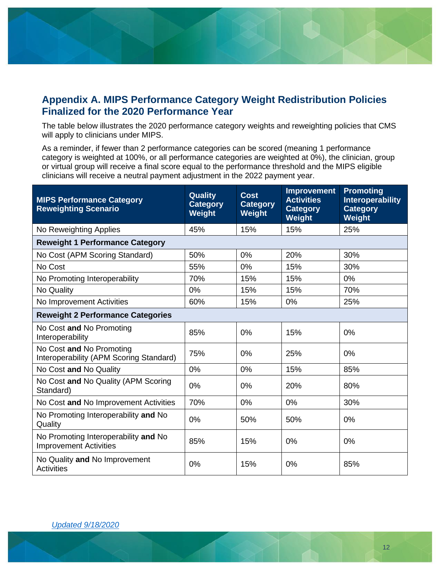

### <span id="page-11-0"></span>**Appendix A. MIPS Performance Category Weight Redistribution Policies Finalized for the 2020 Performance Year**

The table below illustrates the 2020 performance category weights and reweighting policies that CMS will apply to clinicians under MIPS.

As a reminder, if fewer than 2 performance categories can be scored (meaning 1 performance category is weighted at 100%, or all performance categories are weighted at 0%), the clinician, group or virtual group will receive a final score equal to the performance threshold and the MIPS eligible clinicians will receive a neutral payment adjustment in the 2022 payment year.

| <b>MIPS Performance Category</b><br><b>Reweighting Scenario</b>       | <b>Quality</b><br><b>Category</b><br>Weight | <b>Cost</b><br><b>Category</b><br><b>Weight</b> | <b>Improvement</b><br><b>Activities</b><br><b>Category</b><br>Weight | <b>Promoting</b><br><b>Interoperability</b><br><b>Category</b><br>Weight |  |
|-----------------------------------------------------------------------|---------------------------------------------|-------------------------------------------------|----------------------------------------------------------------------|--------------------------------------------------------------------------|--|
| No Reweighting Applies                                                | 45%                                         | 15%                                             | 15%                                                                  | 25%                                                                      |  |
| <b>Reweight 1 Performance Category</b>                                |                                             |                                                 |                                                                      |                                                                          |  |
| No Cost (APM Scoring Standard)                                        | 50%                                         | 0%                                              | 20%                                                                  | 30%                                                                      |  |
| No Cost                                                               | 55%                                         | 0%                                              | 15%                                                                  | 30%                                                                      |  |
| No Promoting Interoperability                                         | 70%                                         | 15%                                             | 15%                                                                  | $0\%$                                                                    |  |
| No Quality                                                            | 0%                                          | 15%                                             | 15%                                                                  | 70%                                                                      |  |
| No Improvement Activities                                             | 60%                                         | 15%                                             | 0%                                                                   | 25%                                                                      |  |
| <b>Reweight 2 Performance Categories</b>                              |                                             |                                                 |                                                                      |                                                                          |  |
| No Cost and No Promoting<br>Interoperability                          | 85%                                         | 0%                                              | 15%                                                                  | 0%                                                                       |  |
| No Cost and No Promoting<br>Interoperability (APM Scoring Standard)   | 75%                                         | 0%                                              | 25%                                                                  | 0%                                                                       |  |
| No Cost and No Quality                                                | 0%                                          | 0%                                              | 15%                                                                  | 85%                                                                      |  |
| No Cost and No Quality (APM Scoring<br>Standard)                      | 0%                                          | 0%                                              | 20%                                                                  | 80%                                                                      |  |
| No Cost and No Improvement Activities                                 | 70%                                         | 0%                                              | 0%                                                                   | 30%                                                                      |  |
| No Promoting Interoperability and No<br>Quality                       | 0%                                          | 50%                                             | 50%                                                                  | 0%                                                                       |  |
| No Promoting Interoperability and No<br><b>Improvement Activities</b> | 85%                                         | 15%                                             | 0%                                                                   | 0%                                                                       |  |
| No Quality and No Improvement<br><b>Activities</b>                    | 0%                                          | 15%                                             | 0%                                                                   | 85%                                                                      |  |